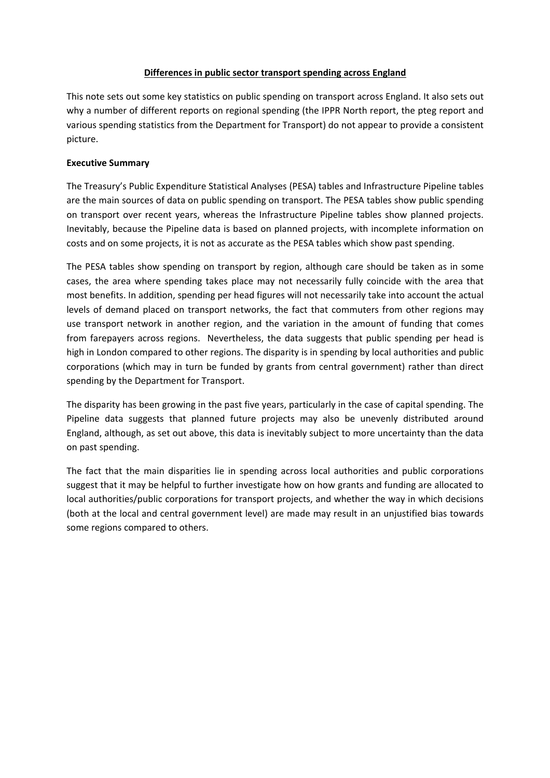### **Differences in public sector transport spending across England**

This note sets out some key statistics on public spending on transport across England. It also sets out why a number of different reports on regional spending (the IPPR North report, the pteg report and various spending statistics from the Department for Transport) do not appear to provide a consistent picture.

## **Executive Summary**

The Treasury's Public Expenditure Statistical Analyses (PESA) tables and Infrastructure Pipeline tables are the main sources of data on public spending on transport. The PESA tables show public spending on transport over recent years, whereas the Infrastructure Pipeline tables show planned projects. Inevitably, because the Pipeline data is based on planned projects, with incomplete information on costs and on some projects, it is not as accurate as the PESA tables which show past spending.

The PESA tables show spending on transport by region, although care should be taken as in some cases, the area where spending takes place may not necessarily fully coincide with the area that most benefits. In addition, spending per head figures will not necessarily take into account the actual levels of demand placed on transport networks, the fact that commuters from other regions may use transport network in another region, and the variation in the amount of funding that comes from farepayers across regions. Nevertheless, the data suggests that public spending per head is high in London compared to other regions. The disparity is in spending by local authorities and public corporations (which may in turn be funded by grants from central government) rather than direct spending by the Department for Transport.

The disparity has been growing in the past five years, particularly in the case of capital spending. The Pipeline data suggests that planned future projects may also be unevenly distributed around England, although, as set out above, this data is inevitably subject to more uncertainty than the data on past spending.

The fact that the main disparities lie in spending across local authorities and public corporations suggest that it may be helpful to further investigate how on how grants and funding are allocated to local authorities/public corporations for transport projects, and whether the way in which decisions (both at the local and central government level) are made may result in an unjustified bias towards some regions compared to others.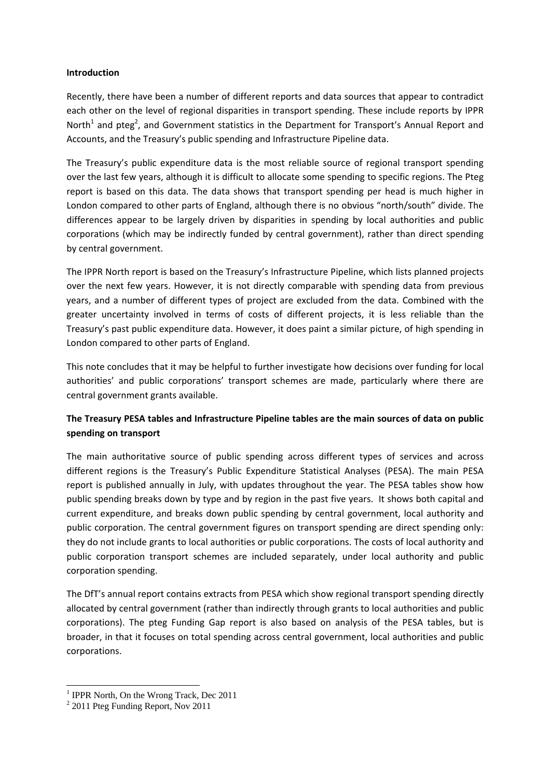### **Introduction**

Recently, there have been a number of different reports and data sources that appear to contradict each other on the level of regional disparities in transport spending. These include reports by IPPR North<sup>1</sup> and pteg<sup>2</sup>, and Government statistics in the Department for Transport's Annual Report and Accounts, and the Treasury's public spending and Infrastructure Pipeline data.

The Treasury's public expenditure data is the most reliable source of regional transport spending over the last few years, although it is difficult to allocate some spending to specific regions. The Pteg report is based on this data. The data shows that transport spending per head is much higher in London compared to other parts of England, although there is no obvious "north/south" divide. The differences appear to be largely driven by disparities in spending by local authorities and public corporations (which may be indirectly funded by central government), rather than direct spending by central government.

The IPPR North report is based on the Treasury's Infrastructure Pipeline, which lists planned projects over the next few years. However, it is not directly comparable with spending data from previous years, and a number of different types of project are excluded from the data. Combined with the greater uncertainty involved in terms of costs of different projects, it is less reliable than the Treasury's past public expenditure data. However, it does paint a similar picture, of high spending in London compared to other parts of England.

This note concludes that it may be helpful to further investigate how decisions over funding for local authorities' and public corporations' transport schemes are made, particularly where there are central government grants available.

# **The Treasury PESA tables and Infrastructure Pipeline tables are the main sources of data on public spending on transport**

The main authoritative source of public spending across different types of services and across different regions is the Treasury's Public Expenditure Statistical Analyses (PESA). The main PESA report is published annually in July, with updates throughout the year. The PESA tables show how public spending breaks down by type and by region in the past five years. It shows both capital and current expenditure, and breaks down public spending by central government, local authority and public corporation. The central government figures on transport spending are direct spending only: they do not include grants to local authorities or public corporations. The costs of local authority and public corporation transport schemes are included separately, under local authority and public corporation spending.

The DfT's annual report contains extracts from PESA which show regional transport spending directly allocated by central government (rather than indirectly through grants to local authorities and public corporations). The pteg Funding Gap report is also based on analysis of the PESA tables, but is broader, in that it focuses on total spending across central government, local authorities and public corporations.

 1 IPPR North, On the Wrong Track, Dec 2011

<sup>&</sup>lt;sup>2</sup> 2011 Pteg Funding Report, Nov 2011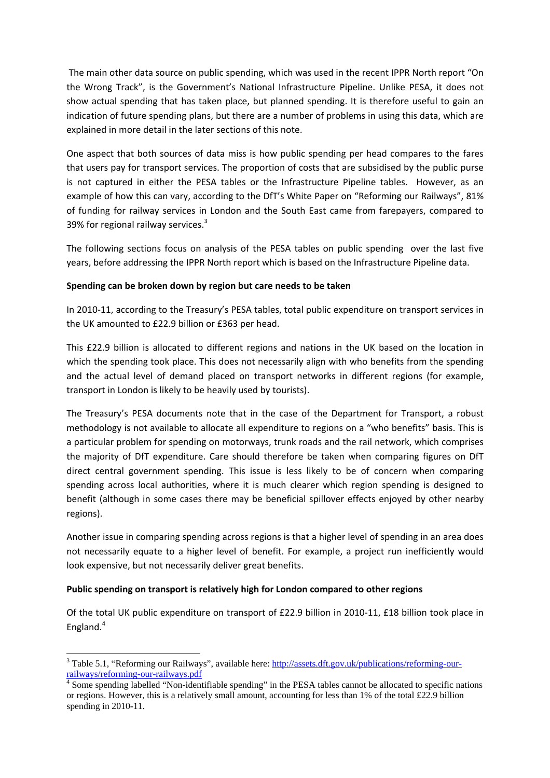The main other data source on public spending, which was used in the recent IPPR North report "On the Wrong Track", is the Government's National Infrastructure Pipeline. Unlike PESA, it does not show actual spending that has taken place, but planned spending. It is therefore useful to gain an indication of future spending plans, but there are a number of problems in using this data, which are explained in more detail in the later sections of this note.

One aspect that both sources of data miss is how public spending per head compares to the fares that users pay for transport services. The proportion of costs that are subsidised by the public purse is not captured in either the PESA tables or the Infrastructure Pipeline tables. However, as an example of how this can vary, according to the DfT's White Paper on "Reforming our Railways", 81% of funding for railway services in London and the South East came from farepayers, compared to 39% for regional railway services.<sup>3</sup>

The following sections focus on analysis of the PESA tables on public spending over the last five years, before addressing the IPPR North report which is based on the Infrastructure Pipeline data.

### **Spending can be broken down by region but care needs to be taken**

In 2010-11, according to the Treasury's PESA tables, total public expenditure on transport services in the UK amounted to £22.9 billion or £363 per head.

This £22.9 billion is allocated to different regions and nations in the UK based on the location in which the spending took place. This does not necessarily align with who benefits from the spending and the actual level of demand placed on transport networks in different regions (for example, transport in London is likely to be heavily used by tourists).

The Treasury's PESA documents note that in the case of the Department for Transport, a robust methodology is not available to allocate all expenditure to regions on a "who benefits" basis. This is a particular problem for spending on motorways, trunk roads and the rail network, which comprises the majority of DfT expenditure. Care should therefore be taken when comparing figures on DfT direct central government spending. This issue is less likely to be of concern when comparing spending across local authorities, where it is much clearer which region spending is designed to benefit (although in some cases there may be beneficial spillover effects enjoyed by other nearby regions).

Another issue in comparing spending across regions is that a higher level of spending in an area does not necessarily equate to a higher level of benefit. For example, a project run inefficiently would look expensive, but not necessarily deliver great benefits.

### **Public spending on transport is relatively high for London compared to other regions**

l

Of the total UK public expenditure on transport of £22.9 billion in 2010‐11, £18 billion took place in England. $4$ 

<sup>&</sup>lt;sup>3</sup> Table 5.1, "Reforming our Railways", available here: http://assets.dft.gov.uk/publications/reforming-ourrailways/reforming-our-railways.pdf

Some spending labelled "Non-identifiable spending" in the PESA tables cannot be allocated to specific nations or regions. However, this is a relatively small amount, accounting for less than 1% of the total £22.9 billion spending in 2010-11.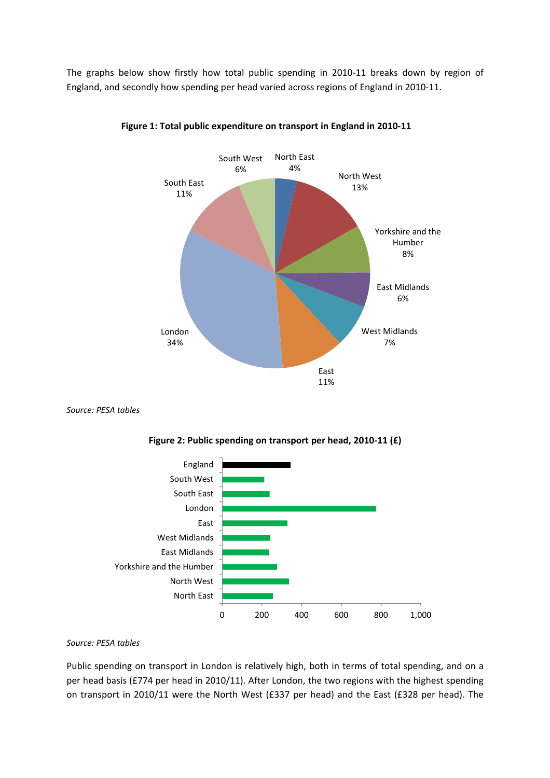The graphs below show firstly how total public spending in 2010‐11 breaks down by region of England, and secondly how spending per head varied across regions of England in 2010‐11.



**Figure 1: Total public expenditure on transport in England in 2010‐11**

*Source: PESA tables*



**Figure 2: Public spending on transport per head, 2010‐11 (£)**

*Source: PESA tables*

Public spending on transport in London is relatively high, both in terms of total spending, and on a per head basis (£774 per head in 2010/11). After London, the two regions with the highest spending on transport in 2010/11 were the North West (£337 per head) and the East (£328 per head). The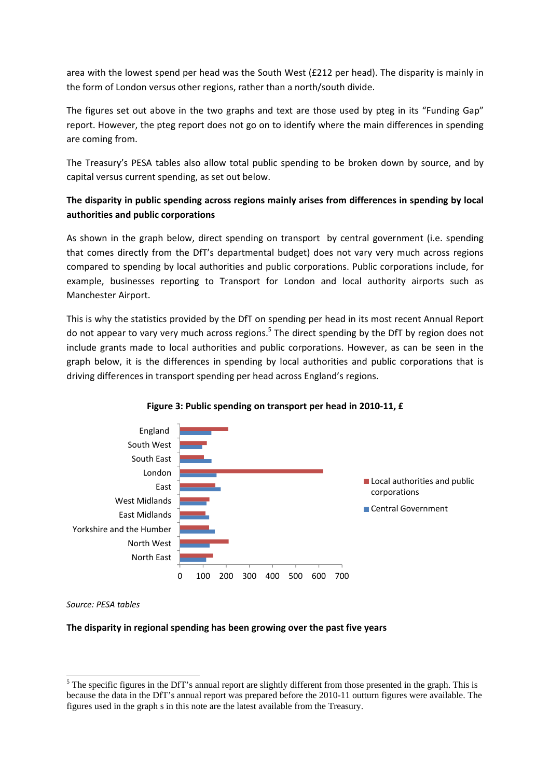area with the lowest spend per head was the South West (£212 per head). The disparity is mainly in the form of London versus other regions, rather than a north/south divide.

The figures set out above in the two graphs and text are those used by pteg in its "Funding Gap" report. However, the pteg report does not go on to identify where the main differences in spending are coming from.

The Treasury's PESA tables also allow total public spending to be broken down by source, and by capital versus current spending, as set out below.

# **The disparity in public spending across regions mainly arises from differences in spending by local authorities and public corporations**

As shown in the graph below, direct spending on transport by central government (i.e. spending that comes directly from the DfT's departmental budget) does not vary very much across regions compared to spending by local authorities and public corporations. Public corporations include, for example, businesses reporting to Transport for London and local authority airports such as Manchester Airport.

This is why the statistics provided by the DfT on spending per head in its most recent Annual Report do not appear to vary very much across regions.<sup>5</sup> The direct spending by the DfT by region does not include grants made to local authorities and public corporations. However, as can be seen in the graph below, it is the differences in spending by local authorities and public corporations that is driving differences in transport spending per head across England's regions.





*Source: PESA tables*

l

### **The disparity in regional spending has been growing over the past five years**

 $<sup>5</sup>$  The specific figures in the DfT's annual report are slightly different from those presented in the graph. This is</sup> because the data in the DfT's annual report was prepared before the 2010-11 outturn figures were available. The figures used in the graph s in this note are the latest available from the Treasury.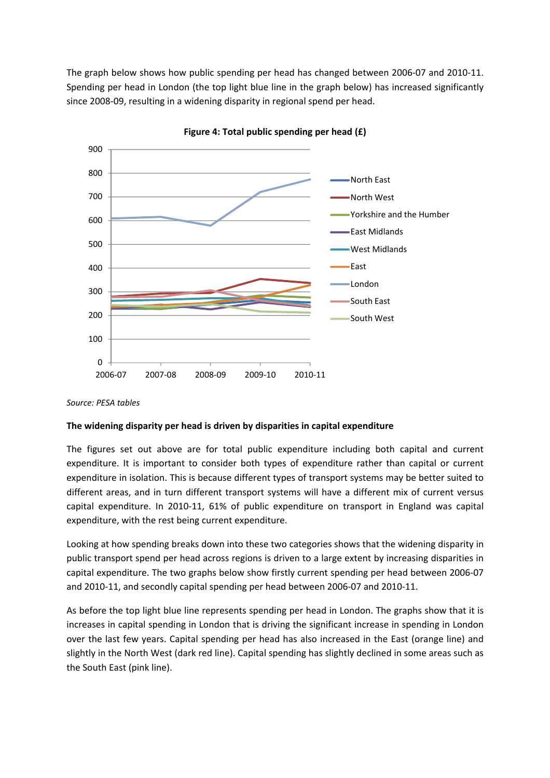The graph below shows how public spending per head has changed between 2006‐07 and 2010‐11. Spending per head in London (the top light blue line in the graph below) has increased significantly since 2008‐09, resulting in a widening disparity in regional spend per head.



**Figure 4: Total public spending per head (£)**

#### *Source: PESA tables*

#### **The widening disparity per head is driven by disparities in capital expenditure**

The figures set out above are for total public expenditure including both capital and current expenditure. It is important to consider both types of expenditure rather than capital or current expenditure in isolation. This is because different types of transport systems may be better suited to different areas, and in turn different transport systems will have a different mix of current versus capital expenditure. In 2010‐11, 61% of public expenditure on transport in England was capital expenditure, with the rest being current expenditure.

Looking at how spending breaks down into these two categories shows that the widening disparity in public transport spend per head across regions is driven to a large extent by increasing disparities in capital expenditure. The two graphs below show firstly current spending per head between 2006‐07 and 2010‐11, and secondly capital spending per head between 2006‐07 and 2010‐11.

As before the top light blue line represents spending per head in London. The graphs show that it is increases in capital spending in London that is driving the significant increase in spending in London over the last few years. Capital spending per head has also increased in the East (orange line) and slightly in the North West (dark red line). Capital spending has slightly declined in some areas such as the South East (pink line).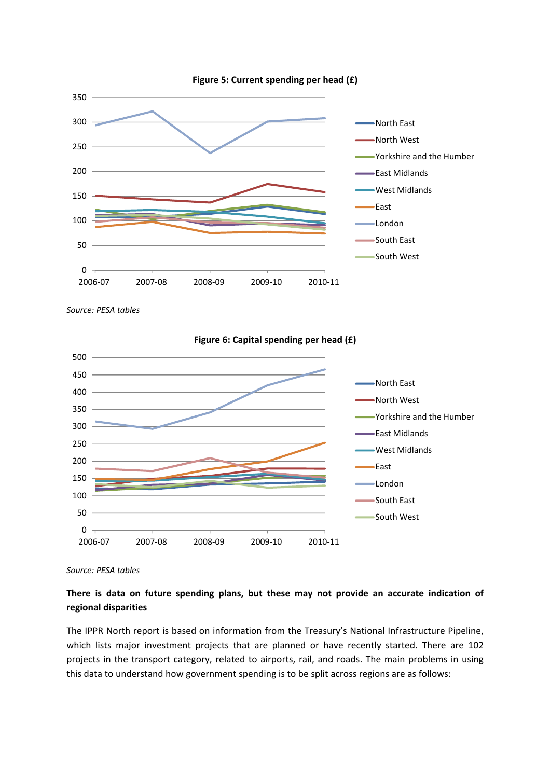

*Source: PESA tables*



**Figure 6: Capital spending per head (£)**

*Source: PESA tables*

# **There is data on future spending plans, but these may not provide an accurate indication of regional disparities**

The IPPR North report is based on information from the Treasury's National Infrastructure Pipeline, which lists major investment projects that are planned or have recently started. There are 102 projects in the transport category, related to airports, rail, and roads. The main problems in using this data to understand how government spending is to be split across regions are as follows: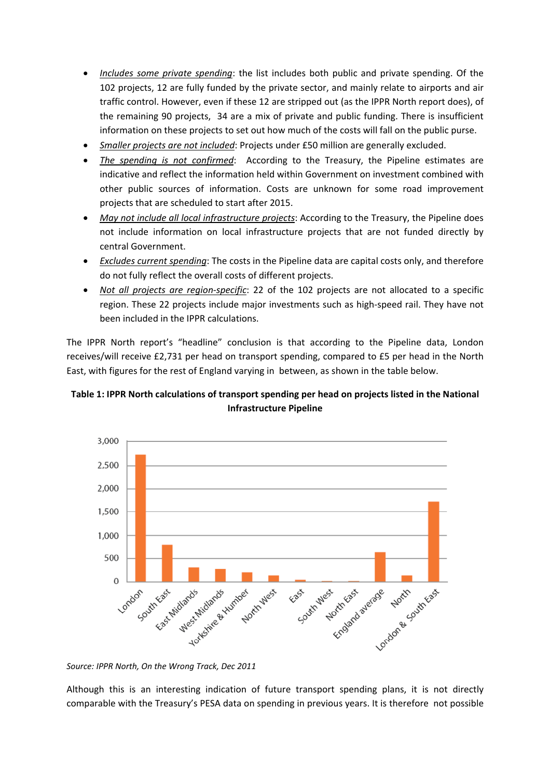- *Includes some private spending*: the list includes both public and private spending. Of the 102 projects, 12 are fully funded by the private sector, and mainly relate to airports and air traffic control. However, even if these 12 are stripped out (as the IPPR North report does), of the remaining 90 projects, 34 are a mix of private and public funding. There is insufficient information on these projects to set out how much of the costs will fall on the public purse.
- *Smaller projects are not included*: Projects under £50 million are generally excluded.
- *The spending is not confirmed*: According to the Treasury, the Pipeline estimates are indicative and reflect the information held within Government on investment combined with other public sources of information. Costs are unknown for some road improvement projects that are scheduled to start after 2015.
- *May not include all local infrastructure projects*: According to the Treasury, the Pipeline does not include information on local infrastructure projects that are not funded directly by central Government.
- *Excludes current spending*: The costs in the Pipeline data are capital costs only, and therefore do not fully reflect the overall costs of different projects.
- *Not all projects are region‐specific*: 22 of the 102 projects are not allocated to a specific region. These 22 projects include major investments such as high‐speed rail. They have not been included in the IPPR calculations.

The IPPR North report's "headline" conclusion is that according to the Pipeline data, London receives/will receive £2,731 per head on transport spending, compared to £5 per head in the North East, with figures for the rest of England varying in between, as shown in the table below.

## **Table 1: IPPR North calculations of transport spending per head on projects listed in the National Infrastructure Pipeline**



*Source: IPPR North, On the Wrong Track, Dec 2011*

Although this is an interesting indication of future transport spending plans, it is not directly comparable with the Treasury's PESA data on spending in previous years. It is therefore not possible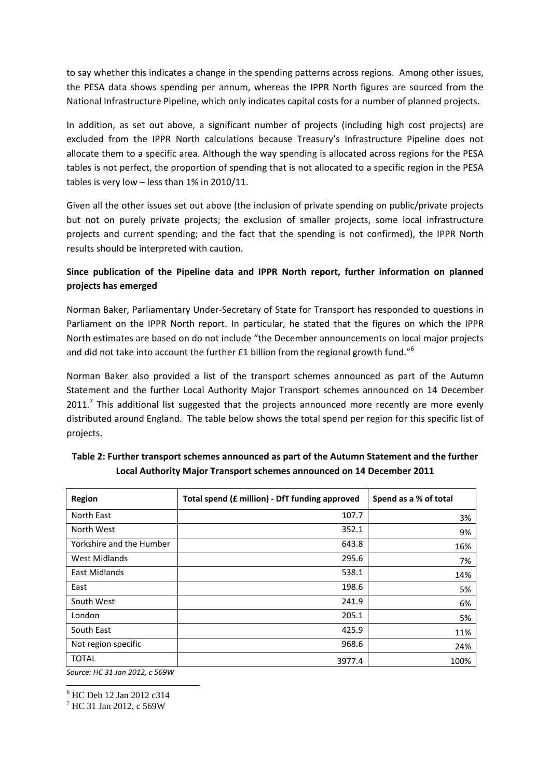to say whether this indicates a change in the spending patterns across regions. Among other issues, the PESA data shows spending per annum, whereas the IPPR North figures are sourced from the National Infrastructure Pipeline, which only indicates capital costs for a number of planned projects.

In addition, as set out above, a significant number of projects (including high cost projects) are excluded from the IPPR North calculations because Treasury's Infrastructure Pipeline does not allocate them to a specific area. Although the way spending is allocated across regions for the PESA tables is not perfect, the proportion of spending that is not allocated to a specific region in the PESA tables is very low – less than 1% in 2010/11.

Given all the other issues set out above (the inclusion of private spending on public/private projects but not on purely private projects; the exclusion of smaller projects, some local infrastructure projects and current spending; and the fact that the spending is not confirmed), the IPPR North results should be interpreted with caution.

# **Since publication of the Pipeline data and IPPR North report, further information on planned projects has emerged**

Norman Baker, Parliamentary Under‐Secretary of State for Transport has responded to questions in Parliament on the IPPR North report. In particular, he stated that the figures on which the IPPR North estimates are based on do not include "the December announcements on local major projects and did not take into account the further £1 billion from the regional growth fund."<sup>6</sup>

Norman Baker also provided a list of the transport schemes announced as part of the Autumn Statement and the further Local Authority Major Transport schemes announced on 14 December  $2011<sup>7</sup>$  This additional list suggested that the projects announced more recently are more evenly distributed around England. The table below shows the total spend per region for this specific list of projects.

| Region                   | Total spend (£ million) - DfT funding approved | Spend as a % of total |
|--------------------------|------------------------------------------------|-----------------------|
| North East               | 107.7                                          | 3%                    |
| North West               | 352.1                                          | 9%                    |
| Yorkshire and the Humber | 643.8                                          | 16%                   |
| <b>West Midlands</b>     | 295.6                                          | 7%                    |
| East Midlands            | 538.1                                          | 14%                   |
| East                     | 198.6                                          | 5%                    |
| South West               | 241.9                                          | 6%                    |
| London                   | 205.1                                          | 5%                    |
| South East               | 425.9                                          | 11%                   |
| Not region specific      | 968.6                                          | 24%                   |
| <b>TOTAL</b>             | 3977.4                                         | 100%                  |

**Table 2: Further transport schemes announced as part of the Autumn Statement and the further Local Authority Major Transport schemes announced on 14 December 2011**

*Source: HC 31 Jan 2012, c 569W*

l 6 HC Deb 12 Jan 2012 c314

7 HC 31 Jan 2012, c 569W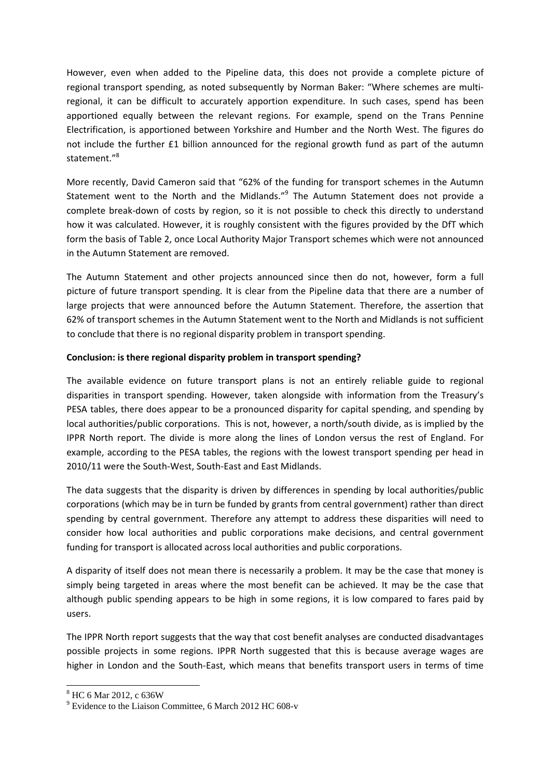However, even when added to the Pipeline data, this does not provide a complete picture of regional transport spending, as noted subsequently by Norman Baker: "Where schemes are multiregional, it can be difficult to accurately apportion expenditure. In such cases, spend has been apportioned equally between the relevant regions. For example, spend on the Trans Pennine Electrification, is apportioned between Yorkshire and Humber and the North West. The figures do not include the further £1 billion announced for the regional growth fund as part of the autumn statement."<sup>8</sup>

More recently, David Cameron said that "62% of the funding for transport schemes in the Autumn Statement went to the North and the Midlands."<sup>9</sup> The Autumn Statement does not provide a complete break‐down of costs by region, so it is not possible to check this directly to understand how it was calculated. However, it is roughly consistent with the figures provided by the DfT which form the basis of Table 2, once Local Authority Major Transport schemes which were not announced in the Autumn Statement are removed.

The Autumn Statement and other projects announced since then do not, however, form a full picture of future transport spending. It is clear from the Pipeline data that there are a number of large projects that were announced before the Autumn Statement. Therefore, the assertion that 62% of transport schemes in the Autumn Statement went to the North and Midlands is not sufficient to conclude that there is no regional disparity problem in transport spending.

### **Conclusion: is there regional disparity problem in transport spending?**

The available evidence on future transport plans is not an entirely reliable guide to regional disparities in transport spending. However, taken alongside with information from the Treasury's PESA tables, there does appear to be a pronounced disparity for capital spending, and spending by local authorities/public corporations. This is not, however, a north/south divide, as is implied by the IPPR North report. The divide is more along the lines of London versus the rest of England. For example, according to the PESA tables, the regions with the lowest transport spending per head in 2010/11 were the South‐West, South‐East and East Midlands.

The data suggests that the disparity is driven by differences in spending by local authorities/public corporations (which may be in turn be funded by grants from central government) rather than direct spending by central government. Therefore any attempt to address these disparities will need to consider how local authorities and public corporations make decisions, and central government funding for transport is allocated across local authorities and public corporations.

A disparity of itself does not mean there is necessarily a problem. It may be the case that money is simply being targeted in areas where the most benefit can be achieved. It may be the case that although public spending appears to be high in some regions, it is low compared to fares paid by users.

The IPPR North report suggests that the way that cost benefit analyses are conducted disadvantages possible projects in some regions. IPPR North suggested that this is because average wages are higher in London and the South-East, which means that benefits transport users in terms of time

 8 HC 6 Mar 2012, c 636W

<sup>&</sup>lt;sup>9</sup> Evidence to the Liaison Committee, 6 March 2012 HC 608-v